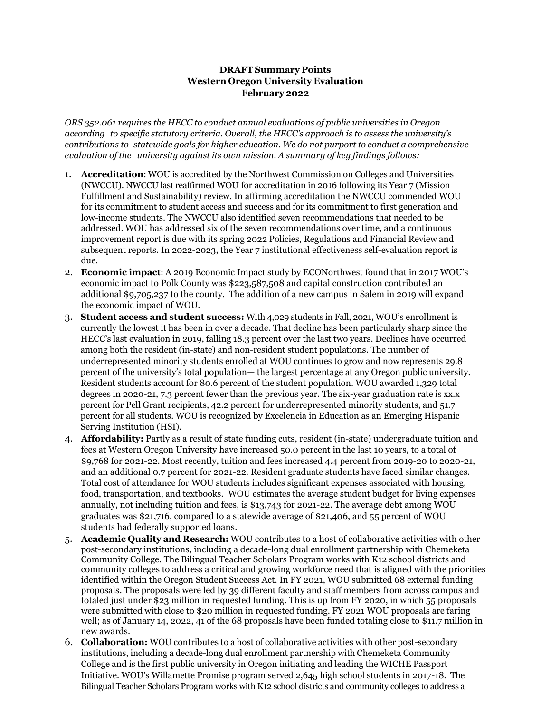## **DRAFT Summary Points Western Oregon University Evaluation February 2022**

*ORS 352.061 requires the HECC to conduct annual evaluations of public universities in Oregon according to specific statutory criteria. Overall, the HECC's approach is to assess the university's contributions to statewide goals for higher education. We do not purport to conduct a comprehensive evaluation of the university against its own mission. A summary of key findings follows:*

- 1. **Accreditation**: WOU is accredited by the Northwest Commission on Colleges and Universities (NWCCU). NWCCU last reaffirmed WOU for accreditation in 2016 following its Year 7 (Mission Fulfillment and Sustainability) review. In affirming accreditation the NWCCU commended WOU for its commitment to student access and success and for its commitment to first generation and low-income students. The NWCCU also identified seven recommendations that needed to be addressed. WOU has addressed six of the seven recommendations over time, and a continuous improvement report is due with its spring 2022 Policies, Regulations and Financial Review and subsequent reports. In 2022-2023, the Year 7 institutional effectiveness self-evaluation report is due.
- 2. **Economic impact**: A 2019 Economic Impact study by ECONorthwest found that in 2017 WOU's economic impact to Polk County was \$223,587,508 and capital construction contributed an additional \$9,705,237 to the county. The addition of a new campus in Salem in 2019 will expand the economic impact of WOU.
- 3. **Student access and student success:** With 4,029 students in Fall, 2021, WOU's enrollment is currently the lowest it has been in over a decade. That decline has been particularly sharp since the HECC's last evaluation in 2019, falling 18.3 percent over the last two years. Declines have occurred among both the resident (in-state) and non-resident student populations. The number of underrepresented minority students enrolled at WOU continues to grow and now represents 29.8 percent of the university's total population— the largest percentage at any Oregon public university. Resident students account for 80.6 percent of the student population. WOU awarded 1,329 total degrees in 2020-21, 7.3 percent fewer than the previous year. The six-year graduation rate is xx.x percent for Pell Grant recipients, 42.2 percent for underrepresented minority students, and 51.7 percent for all students. WOU is recognized by Excelencia in Education as an Emerging Hispanic Serving Institution (HSI).
- 4. **Affordability:** Partly as a result of state funding cuts, resident (in-state) undergraduate tuition and fees at Western Oregon University have increased 50.0 percent in the last 10 years, to a total of \$9,768 for 2021-22. Most recently, tuition and fees increased 4.4 percent from 2019-20 to 2020-21, and an additional 0.7 percent for 2021-22. Resident graduate students have faced similar changes. Total cost of attendance for WOU students includes significant expenses associated with housing, food, transportation, and textbooks. WOU estimates the average student budget for living expenses annually, not including tuition and fees, is \$13,743 for 2021-22. The average debt among WOU graduates was \$21,716, compared to a statewide average of \$21,406, and 55 percent of WOU students had federally supported loans.
- 5. **Academic Quality and Research:** WOU contributes to a host of collaborative activities with other post-secondary institutions, including a decade-long dual enrollment partnership with Chemeketa Community College. The Bilingual Teacher Scholars Program works with K12 school districts and community colleges to address a critical and growing workforce need that is aligned with the priorities identified within the Oregon Student Success Act. In FY 2021, WOU submitted 68 external funding proposals. The proposals were led by 39 different faculty and staff members from across campus and totaled just under \$23 million in requested funding. This is up from FY 2020, in which 55 proposals were submitted with close to \$20 million in requested funding. FY 2021 WOU proposals are faring well; as of January 14, 2022, 41 of the 68 proposals have been funded totaling close to \$11.7 million in new awards.
- 6. **Collaboration:** WOU contributes to a host of collaborative activities with other post-secondary institutions, including a decade-long dual enrollment partnership with Chemeketa Community College and is the first public university in Oregon initiating and leading the WICHE Passport Initiative. WOU's Willamette Promise program served 2,645 high school students in 2017-18. The Bilingual Teacher Scholars Program works with K12 school districts and community colleges to address a